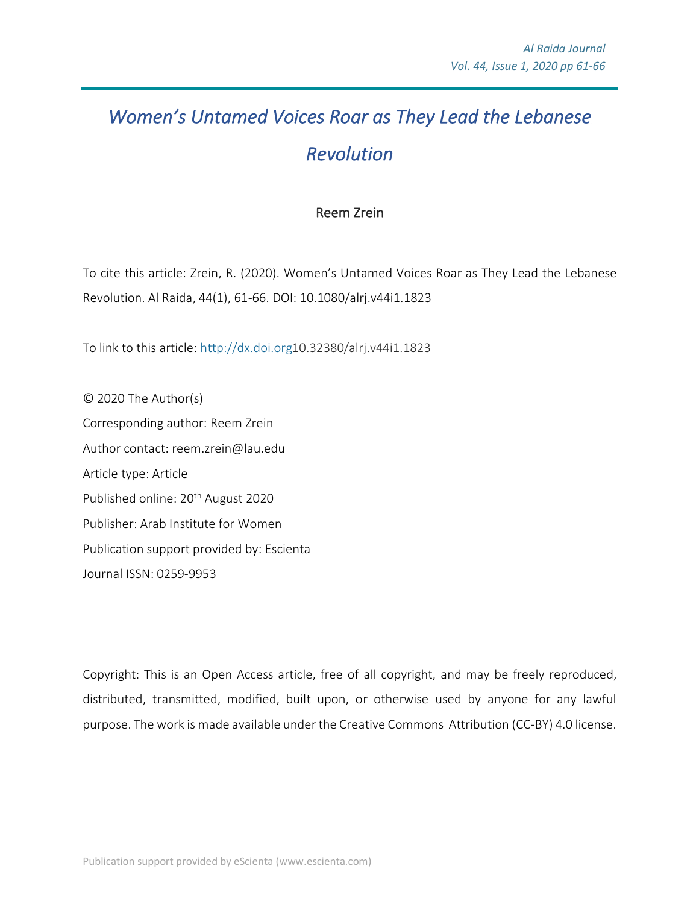## *Women's Untamed Voices Roar as They Lead the Lebanese Revolution*

## Reem Zrein

To cite this article: Zrein, R. (2020). Women's Untamed Voices Roar as They Lead the Lebanese Revolution. Al Raida, 44(1), 61-66. DOI: 10.1080/alrj.v44i1.1823

To link to this article: http://dx.doi.org10.32380/alrj.v44i1.1823

© 2020 The Author(s) Corresponding author: Reem Zrein Author contact: reem.zrein@lau.edu Article type: Article Published online: 20<sup>th</sup> August 2020 Publisher: Arab Institute for Women Publication support provided by: Escienta Journal ISSN: 0259-9953

Copyright: This is an Open Access article, free of all copyright, and may be freely reproduced, distributed, transmitted, modified, built upon, or otherwise used by anyone for any lawful purpose. The work is made available under the Creative Commons Attribution (CC-BY) 4.0 license.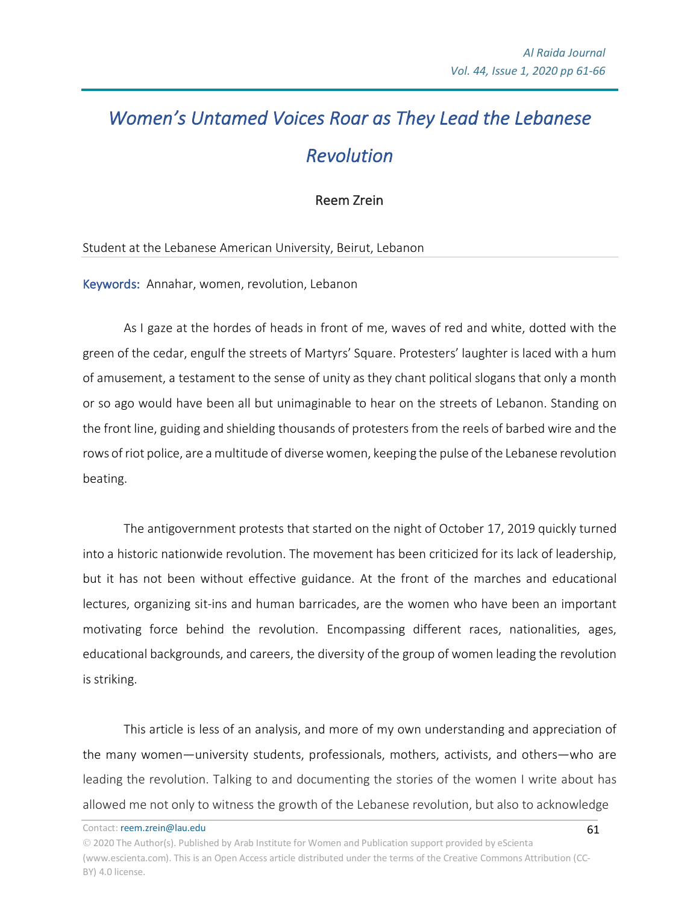## *Women's Untamed Voices Roar as They Lead the Lebanese Revolution*

Reem Zrein

Student at the Lebanese American University, Beirut, Lebanon

Keywords: Annahar, women, revolution, Lebanon

As I gaze at the hordes of heads in front of me, waves of red and white, dotted with the green of the cedar, engulf the streets of Martyrs' Square. Protesters' laughter is laced with a hum of amusement, a testament to the sense of unity as they chant political slogans that only a month or so ago would have been all but unimaginable to hear on the streets of Lebanon. Standing on the front line, guiding and shielding thousands of protesters from the reels of barbed wire and the rows of riot police, are a multitude of diverse women, keeping the pulse of the Lebanese revolution beating.

The antigovernment protests that started on the night of October 17, 2019 quickly turned into a historic nationwide revolution. The movement has been criticized for its lack of leadership, but it has not been without effective guidance. At the front of the marches and educational lectures, organizing sit-ins and human barricades, are the women who have been an important motivating force behind the revolution. Encompassing different races, nationalities, ages, educational backgrounds, and careers, the diversity of the group of women leading the revolution is striking.

This article is less of an analysis, and more of my own understanding and appreciation of the many women—university students, professionals, mothers, activists, and others—who are leading the revolution. Talking to and documenting the stories of the women I write about has allowed me not only to witness the growth of the Lebanese revolution, but also to acknowledge

Contact: reem.zrein@lau.edu

Ó 2020 The Author(s). Published by Arab Institute for Women and Publication support provided by eScienta (www.escienta.com). This is an Open Access article distributed under the terms of the Creative Commons Attribution (CC-BY) 4.0 license.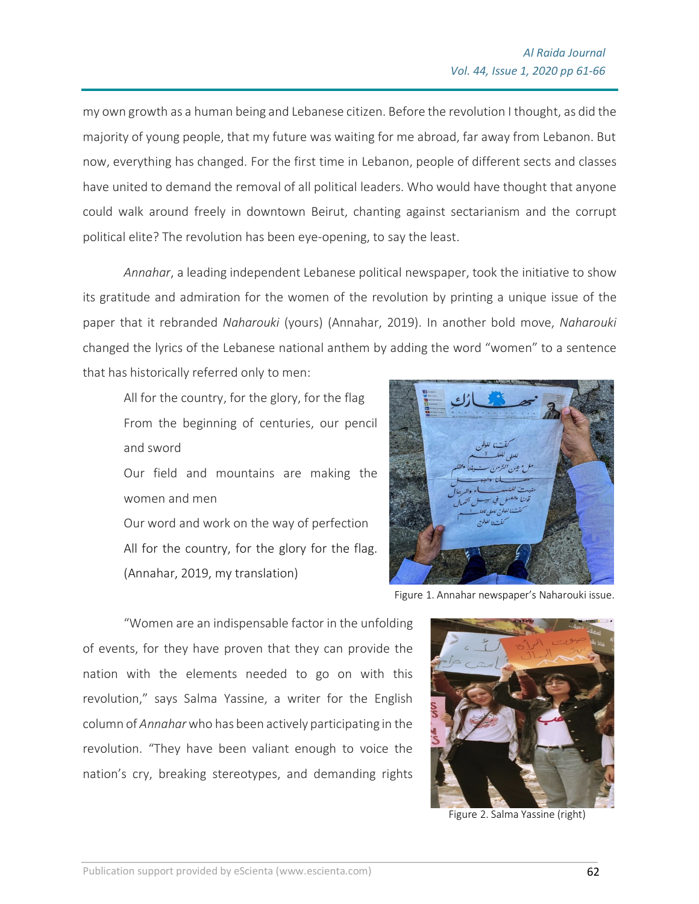my own growth as a human being and Lebanese citizen. Before the revolution I thought, as did the majority of young people, that my future was waiting for me abroad, far away from Lebanon. But now, everything has changed. For the first time in Lebanon, people of different sects and classes have united to demand the removal of all political leaders. Who would have thought that anyone could walk around freely in downtown Beirut, chanting against sectarianism and the corrupt political elite? The revolution has been eye-opening, to say the least.

*Annahar*, a leading independent Lebanese political newspaper, took the initiative to show its gratitude and admiration for the women of the revolution by printing a unique issue of the paper that it rebranded *Naharouki* (yours) (Annahar, 2019). In another bold move, *Naharouki* changed the lyrics of the Lebanese national anthem by adding the word "women" to a sentence that has historically referred only to men:

All for the country, for the glory, for the flag From the beginning of centuries, our pencil and sword

Our field and mountains are making the women and men

Our word and work on the way of perfection All for the country, for the glory for the flag. (Annahar, 2019, my translation)



Figure 1. Annahar newspaper's Naharouki issue.

"Women are an indispensable factor in the unfolding of events, for they have proven that they can provide the nation with the elements needed to go on with this revolution," says Salma Yassine, a writer for the English column of *Annahar*who has been actively participating in the revolution. "They have been valiant enough to voice the nation's cry, breaking stereotypes, and demanding rights



Figure 2. Salma Yassine (right)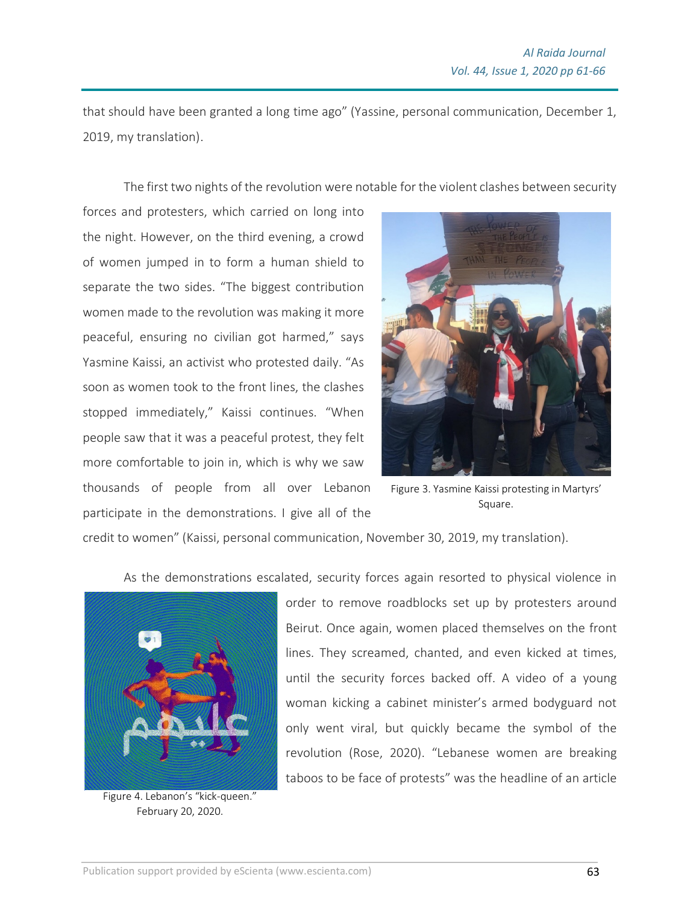that should have been granted a long time ago" (Yassine, personal communication, December 1, 2019, my translation).

The first two nights of the revolution were notable for the violent clashes between security

forces and protesters, which carried on long into the night. However, on the third evening, a crowd of women jumped in to form a human shield to separate the two sides. "The biggest contribution women made to the revolution was making it more peaceful, ensuring no civilian got harmed," says Yasmine Kaissi, an activist who protested daily. "As soon as women took to the front lines, the clashes stopped immediately," Kaissi continues. "When people saw that it was a peaceful protest, they felt more comfortable to join in, which is why we saw thousands of people from all over Lebanon participate in the demonstrations. I give all of the



Figure 3. Yasmine Kaissi protesting in Martyrs' Square.

credit to women" (Kaissi, personal communication, November 30, 2019, my translation).

As the demonstrations escalated, security forces again resorted to physical violence in



Figure 4. Lebanon's "kick-queen." February 20, 2020.

order to remove roadblocks set up by protesters around Beirut. Once again, women placed themselves on the front lines. They screamed, chanted, and even kicked at times, until the security forces backed off. A video of a young woman kicking a cabinet minister's armed bodyguard not only went viral, but quickly became the symbol of the revolution (Rose, 2020). "Lebanese women are breaking taboos to be face of protests" was the headline of an article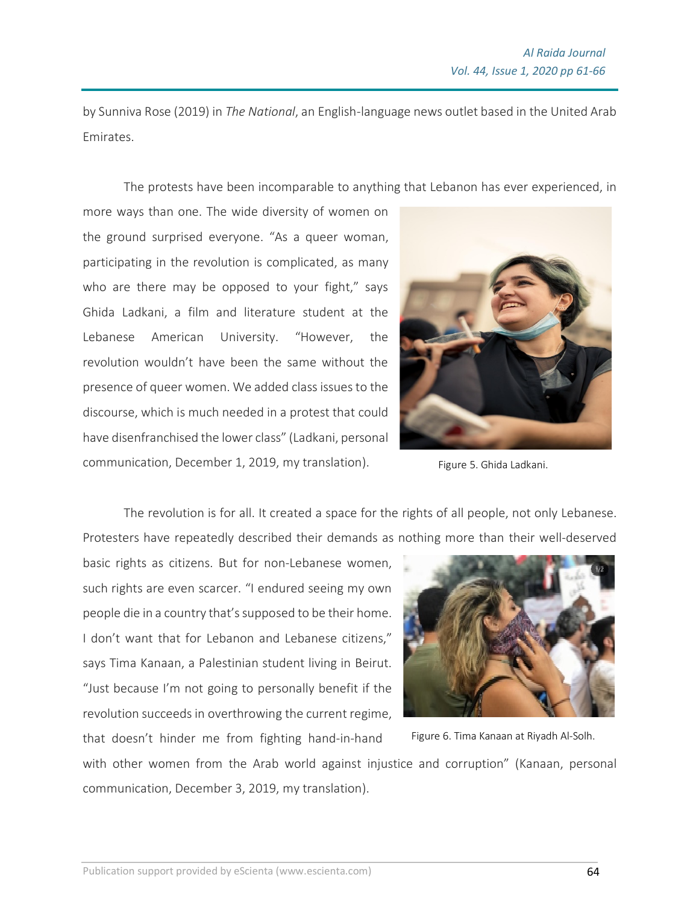by Sunniva Rose (2019) in *The National*, an English-language news outlet based in the United Arab Emirates.

The protests have been incomparable to anything that Lebanon has ever experienced, in

more ways than one. The wide diversity of women on the ground surprised everyone. "As a queer woman, participating in the revolution is complicated, as many who are there may be opposed to your fight," says Ghida Ladkani, a film and literature student at the Lebanese American University. "However, the revolution wouldn't have been the same without the presence of queer women. We added class issues to the discourse, which is much needed in a protest that could have disenfranchised the lower class" (Ladkani, personal communication, December 1, 2019, my translation).



Figure 5. Ghida Ladkani.

The revolution is for all. It created a space for the rights of all people, not only Lebanese. Protesters have repeatedly described their demands as nothing more than their well-deserved

basic rights as citizens. But for non-Lebanese women, such rights are even scarcer. "I endured seeing my own people die in a country that's supposed to be their home. I don't want that for Lebanon and Lebanese citizens," says Tima Kanaan, a Palestinian student living in Beirut. "Just because I'm not going to personally benefit if the revolution succeeds in overthrowing the current regime, that doesn't hinder me from fighting hand-in-hand



Figure 6. Tima Kanaan at Riyadh Al-Solh.

with other women from the Arab world against injustice and corruption" (Kanaan, personal communication, December 3, 2019, my translation).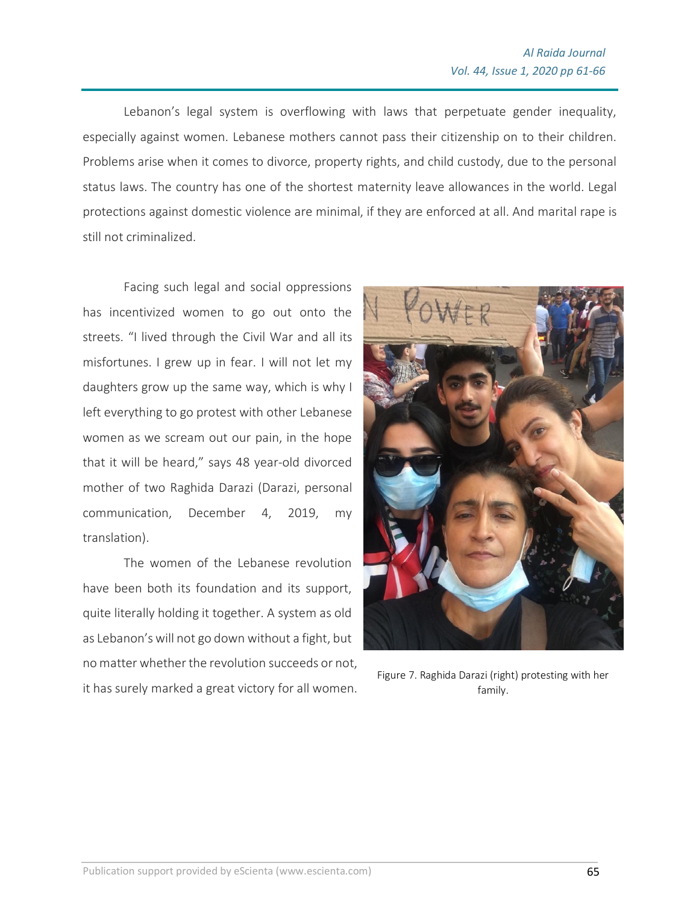Lebanon's legal system is overflowing with laws that perpetuate gender inequality, especially against women. Lebanese mothers cannot pass their citizenship on to their children. Problems arise when it comes to divorce, property rights, and child custody, due to the personal status laws. The country has one of the shortest maternity leave allowances in the world. Legal protections against domestic violence are minimal, if they are enforced at all. And marital rape is still not criminalized.

Facing such legal and social oppressions has incentivized women to go out onto the streets. "I lived through the Civil War and all its misfortunes. I grew up in fear. I will not let my daughters grow up the same way, which is why I left everything to go protest with other Lebanese women as we scream out our pain, in the hope that it will be heard," says 48 year-old divorced mother of two Raghida Darazi (Darazi, personal communication, December 4, 2019, my translation).

The women of the Lebanese revolution have been both its foundation and its support, quite literally holding it together. A system as old as Lebanon'swill not go down without a fight, but no matter whether the revolution succeeds or not, it has surely marked a great victory for all women.



Figure 7. Raghida Darazi (right) protesting with her family.